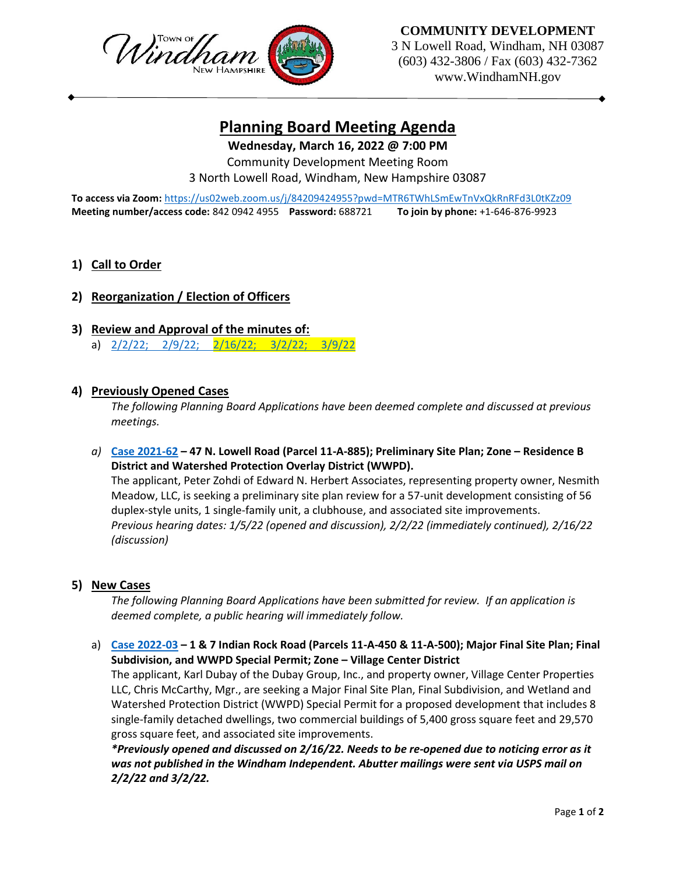

**COMMUNITY DEVELOPMENT**

3 N Lowell Road, Windham, NH 03087 (603) 432-3806 / Fax (603) 432-7362 www.WindhamNH.gov

# **Planning Board Meeting Agenda**

**Wednesday, March 16, 2022 @ 7:00 PM**

Community Development Meeting Room 3 North Lowell Road, Windham, New Hampshire 03087

**To access via Zoom:** <https://us02web.zoom.us/j/84209424955?pwd=MTR6TWhLSmEwTnVxQkRnRFd3L0tKZz09> **Meeting number/access code:** 842 0942 4955 **Password:** 688721 **To join by phone:** +1-646-876-9923

## **1) Call to Order**

# **2) Reorganization / Election of Officers**

- **3) Review and Approval of the minutes of:**
	- a) [2/2/22; 2/9/22; 2/16/22; 3/2/22; 3/9/22](https://www.windhamnh.gov/DocumentCenter/Index/919)

#### **4) Previously Opened Cases**

*The following Planning Board Applications have been deemed complete and discussed at previous meetings.* 

*a)* **[Case 2021-62](https://www.windhamnh.gov/DocumentCenter/Index/826) – 47 N. Lowell Road (Parcel 11-A-885); Preliminary Site Plan; Zone – Residence B District and Watershed Protection Overlay District (WWPD).**

The applicant, Peter Zohdi of Edward N. Herbert Associates, representing property owner, Nesmith Meadow, LLC, is seeking a preliminary site plan review for a 57-unit development consisting of 56 duplex-style units, 1 single-family unit, a clubhouse, and associated site improvements. *Previous hearing dates: 1/5/22 (opened and discussion), 2/2/22 (immediately continued), 2/16/22 (discussion)*

#### **5) New Cases**

*The following Planning Board Applications have been submitted for review. If an application is deemed complete, a public hearing will immediately follow.*

## a) **[Case 2022-03](https://www.windhamnh.gov/DocumentCenter/Index/894) – 1 & 7 Indian Rock Road (Parcels 11-A-450 & 11-A-500); Major Final Site Plan; Final Subdivision, and WWPD Special Permit; Zone – Village Center District**

The applicant, Karl Dubay of the Dubay Group, Inc., and property owner, Village Center Properties LLC, Chris McCarthy, Mgr., are seeking a Major Final Site Plan, Final Subdivision, and Wetland and Watershed Protection District (WWPD) Special Permit for a proposed development that includes 8 single-family detached dwellings, two commercial buildings of 5,400 gross square feet and 29,570 gross square feet, and associated site improvements.

*\*Previously opened and discussed on 2/16/22. Needs to be re-opened due to noticing error as it was not published in the Windham Independent. Abutter mailings were sent via USPS mail on 2/2/22 and 3/2/22.*